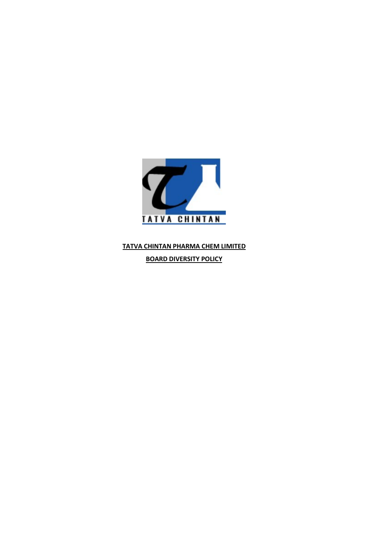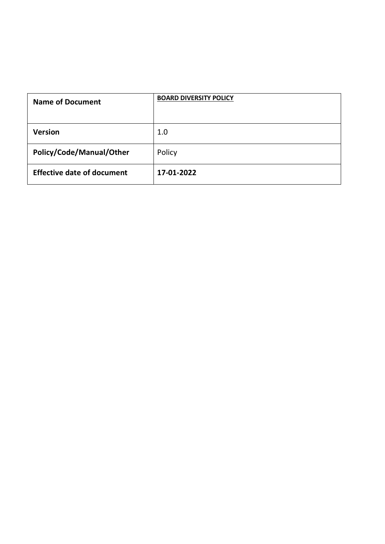| <b>Name of Document</b>           | <b>BOARD DIVERSITY POLICY</b> |  |
|-----------------------------------|-------------------------------|--|
|                                   |                               |  |
|                                   |                               |  |
| Version                           | $1.0\,$                       |  |
| Policy/Code/Manual/Other          | Policy                        |  |
| <b>Effective date of document</b> | 17-01-2022                    |  |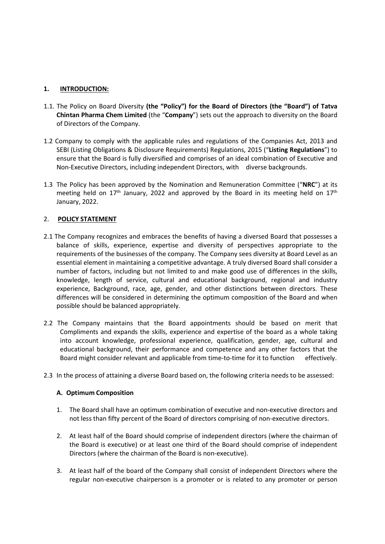- 1. INTRODUCTION:<br>
1.1. The Policy on Board Diversity (the "Policy") for the Board of Directors (<br>
Chintan Pharma Chem Limited (the "Company") sets out the approach to<br>
of Directors of the Company. 1.1. The Policy on Board Diversity (the "Policy") for the Board of Directors (the "Board") of Tatva<br>
Chintan Pharma Chem Limited (the "Company") sets out the approach to diversity on the Board<br>
of Directors of the Company.
- INTRODUCTION:<br>The Policy on Board Diversity (the "Policy") for the Board of Directors (the "Board") of Tatva<br>Chintan Pharma Chem Limited (the "Company") sets out the approach to diversity on the Board<br>Company to comply wit **INTRODUCTION:**<br>The Policy on Board Diversity (the "Policy") for the Board of Directors (the "Board") of<br>Chintan Pharma Chem Limited (the "Company") sets out the approach to diversity on the fo<br>folicetors of the Company.<br>C 1. INTRODUCTION:<br>
1.1. The Policy on Board Diversity (the "Policy") for the Board of Directors (the "Board") of Tatva<br>
Chintan Pharma Chem Limited (the "Company") sets out the approach to diversity on the Board<br>
of Directo **INTRODUCTION:**<br>The Policy on Board Diversity (**the "Policy") for the Board of Directors (the "Board") of Tatva**<br>Chintan Pharma Chem Limited (the "Company") sets out the approach to diversity on the Board<br>of Directors of **INTRODUCTION:**<br>The Policy on Board Diversity (the "Policy") for the Board of Directors (the "Board") of Tatva<br>Chintan Pharma Chem Limited (the "Company") sets out the approach to diversity on the Board<br>Directors of the C **INTRODUCTION:**<br>The Policy on Board Diversity (the "Policy") for the Board of Directors (the "Board") of Tatva<br>Chintan Pharma Chem Limited (the "Company") sets out the approach to diversity on the Board<br>of Directors of the 1. INTRODUCTION:<br>
1.1. The Policy on Board Diversity (the "Policy") for the Board of Directors (the "Board") of Tatva<br>
Chintan Pharma Chem Limited (the "Company") sets out the approach to diversity on the Board<br>
of Direct **INTRODUCTION:**<br>The Policy on Board Diversity (the "Policy") for the Board of Directors (the "Board") of Tatva<br>Chintan Pharma Chemelinited (the "Company") sets out the approach to diversity on the Board<br>of Directors of th **INTRODUCTION:**<br>The Policy on Board Diversity (the "Policy") for the Board of Directors (the "BC<br>Chintan Pharma Chem Limited (the "Company") sets out the approach to diversit<br>of Directors of the Company.<br>Company to comply
- 

- **1.** INTRODUCTION:<br>
1.1. The Policy on Board Diversity (the "Policy") for the Board of Directors (the "B-<br>
Chintan Pharma Chem Limited (the "Company") sets out the approach to diversi<br>
of Directors of the Company.<br>
1.2 Co **1. INTRODUCTION:**<br> **2.1 The Policy on Board Diversity (the "Policy") for the Board of Directors (the "Board") of Tatva<br>
Chintan Pharma Chem Limited (the "Company") sets out the approach to diversity on the Board<br>
of Dire INTRODUCTION:**<br>The Policy on Board Diversity (the "Policy") for the Board of Directors (the "Board") of Tatva<br>Chintan Pharma Chem Limited (the "Company") sets out the approach to diversity on the Board<br>of Directors of the **EXECT THE COM THE COMPUTE THE COMPUTE THE SCALE AS AND THE POLICY ON BOAT CHEMEL THE POLICY ON BOAT COMPANY.** The BOAT COMPANY SETS out the approach to diversity on the Board of Directors of the Company.<br>Company to comply The Policy on Board Diversity (the "Policy") for the Board of Directors (the "Board") of Tatva<br>Chintan Pharma Chem Limited (the "Company") sets out the approach to diversity on the Board<br>of Directors of the Company.<br>
Compa **Children** Pharma Chem Limited (the "Company") sets out the approach to diversity on the Board of Directors of the Company.<br>
Company to comply with the applicable rules and regulations of the Companies Act, 2013 and<br>
Comp Company to comply with the applicable rules and regulations of the Companies Act, 2013 and<br>Company to comply with the applicable rules and regulations, 2015 ("Listing Regulations") to<br>CBE (Listing Obligations & Disclosure Company to comply with the applicable rules and regulations of the Companies Act, 2013 and<br>
SEBI (Listing Obligations & Disclosure Requirements) Regulations, 2015 ("L**isting Regulations**") to<br>
ensure that the Board is full Company to comply with the applicable rules and regulations of the Companies Act, 2013 and<br>
SEBI (Listing Dolligations & Disclosure Requirements) Regulations, 2015 ("Listing Regulations") to<br>
ensure that the Board is fully **EXELUTS**<br>
SEBI (Listing Obligations & Disclosure Requirements) Regulations, 2015 ("Li**sting Regulations**") to<br>
ensure that the Board is fully diversified and comprises of an ideal combination of Executive and<br>
NON-EXECUT **2.2** The Policy burstice burstice of the Normal matrix of the Normal method in the Board mission and Remuneration Committee ( $\mathbf{r}'$ **NRC**") at its meeting held on 17<sup>th</sup> January, 2022 and approved by the Board in its me The Policy has been approved by the Nomination and Remuneration Committee ("NRC") at its<br>neeting held on 17<sup>m</sup> January, 2022 and approved by the Board in its meeting held on 17<sup>m</sup><br>anuary, 2022.<br>OLICY STATEMENT<br>Company reco he Policy has been approved by the Nomination and Remuneration Committee ("NRC") at its<br>neutring held on 17<sup>th</sup> January, 2022 and approved by the Board in its meeting held on 17<sup>th</sup><br>anuary, 2022.<br>**OLICY STATEMENT**<br>**OLICY S** eneting held on 17<sup>th</sup> January, 2022 and approved by the Board in its meeting held on 17<sup>th</sup><br>anuary, 2022.<br> **POLICY STATEMENT**<br> **ECOMPATY** ECONDEXATE THE COMPART TO EXECUTE COMPART TO EXECUTE COMPART TO EXECUTE COMPART TO **POLICY STATEMENT**<br>
The Company recognizes and embraces the benefits of having a diversed Board that possesses a<br>
alance of skills, experience, expertise and diversity of perspectives appropriate to the<br>
agentiements of th 2. **POLICY STATEMENT**<br>
2.1 The Company recognizes and embraces the benefits of having a diversed Board that possesses a<br>
balance of skills, experience, expertise and diversity of perspectives appropriate to the<br>
requiremen The Company recognizes and embraces the benefits of having a diversed Board that polance of skills, experience, expertise and diversity of perspectives appropriate explainents of the businesses of the company. The Company Treatments of the businesses of the company. The Company sees diversity at Board Level as an essential element in maintaining a competitive advantage. A truly diversed Board shall consider a sumble of factors, including bu notial element in maintaining a competitive advantage. A truly diversed Board shall consider a brital element in maintaining a competitive advantage. A truly diversed Board shall consider a bref factors, including but not
- Example of the Board showledge, length of service, cultural and educational background, regional and industry<br>experience, Background, race, age, gender, and other distinctions between directors. These<br>differences will be c trace, Background, race, age, gender, and other distinctions between directors. These<br>rences will be considered in determining the optimum composition of the Board and when<br>the should be balanced appropriately.<br>Company mai rences will be considered in determining the optimum composition of the Board and when<br>the should be balanced appropriately.<br>Company maintains that the Board appointments should be based on merit that<br>company maintains tha The Company maintains that the Board appointments should be based on merit that<br>
Tompliments and expands the skills, experience and expertise of the board as a whole taking<br>
into account knowledge, professional experience, Company maintains that the Board appointments should be based on merit that mpliments and expends the skills, experience and expertise of the board as a whole taking prices of the profition per coulification, gender, age,
- 

- 
- 
-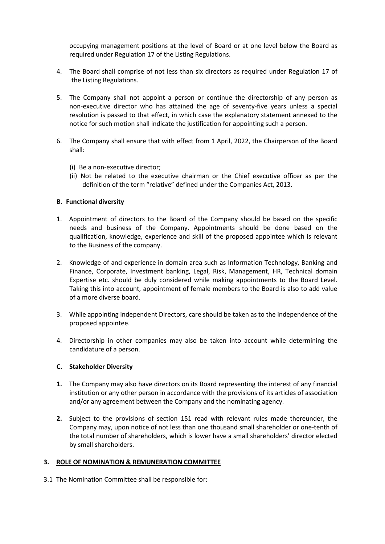occupying management positions at the level of Board or at one level below the Board as<br>required under Regulation 17 of the Listing Regulations.<br>The Board shall comprise of not less than six directors as required under Reg occupying management positions at the level of Board or at one level below the Board as<br>required under Regulation 17 of the Listing Regulations.<br>The Board shall comprise of not less than six directors as required under Reg

- 
- occupying management positions at the level of Board or at one level below the Board as<br>required under Regulation 17 of the Listing Regulations.<br>4. The Board shall comprise of not less than six directors as required under occupying management positions at the level of Board or at one level below the E<br>equired under Regulation 17 of the Listing Regulations.<br>The Board shall comprise of not less than six directors as required under Regulatio<br>t occupying management positions at the level of Board or at one level below the Board as<br>required under Regulation 17 of the Listing Regulations.<br>4. The Board shall comprise of not less than six directors as required under occupying management positions at the level of Board or at one level below the Board as<br>required under Regulation 17 of the Listing Regulations.<br>The Board shall comprise of not less than six directors as required under Reg occupying management positions at the level of Board or at one level below the Board as<br>required under Regulation 17 of the Listing Regulations.<br>The Board shall comprise of not less than six directors as required under Reg occupying management positions at the level of Board or at one level below the Board as<br>required under Regulation 17 of the Listing Regulations.<br>The Board shall comprise of not less than six directors as required under Reg occupying management positions at the level of Board or at one level below the Board as<br>required under Regulation 17 of the Listing Regulations.<br>4. The Board shall comprise of not less than six directors as required under occupying management positions at the level of Board or at one level below the Board as<br>required under Regulation 17 of the Listing Regulations.<br>The Board shall comprise of not less than six directors as required under Reg occupying management positions at the level of Board or at one level below the Board as<br>required under Regulation 17 of the Listing Regulations.<br>The Board shall comprise of not less than six directors as required under Reg pying management positions at the level of Board or at one level below the Board as<br>ired under Regulation 17 of the Listing Regulations.<br>Board shall comprise of not less than six directors as required under Regulation 17 o
- shall:
	-
	-

- occupying management positions at the level of Board or at one level below the<br>required under Regulation 17 of the Listing Regulations.<br>4. The Board shall comprise of not less than six directors as required under Regulat<br>t 1. The Board shall comprise of not less than six directors as required under Regulation 17 of<br>the Listing Regulations.<br>
5. The Company shall not appoint a person or continue the directorship of any person as<br>
non-executive The Board shall comprise of not less than six directors as required under Regulation 17 of<br>the Listing Regulations.<br>The Company shall not appoint a person or continue the directorship of any person as<br>non-executive directo The Company shall not appoint a person or continue the directorship of any person as<br>non-executive director who has attained the age of seventy-five years unless a special<br>resolution is passed to that effect, in which case
- The Company shall not appoint a person or continue the directorship of any person as<br>The Company shall not appoint a person or continue the directorship of any person as<br>non-executive director who has attained the age of s 1. The compare of and effect in which case the experiment of and experimentance of a beach of the experimental to the ferrence in the experimental mode. The Company shall ensure that with esse the explanatory statement ann resolution is passed to that effect, in which case the explanatory statement annexed to the notice for such motion shall indicate the justification for appointing such a person.<br>The Company shall ensure that with effect fr Inotice for such motion shall indicate the justification for appointing such a person.<br>
The Company shall ensure that with effect from 1 April, 2022, the Chairperson of the Board<br>
shall:<br>
(i) Be a non-executive director;<br> The Company shall ensure that with effect from 1 April, 2022, the Chairperson of the Board shall:<br>
(i) Be a non-executive director;<br>
(ii) Not be related to the executive chairman or the Chief executive officer as per the<br> The Company shall ensure that with effect from 1 April, 2022, the Chairperson of the Boar<br>shall:<br>(i) Be a non-executive director;<br>(ii) Not be related to the executive chairman or the Chief executive officer as per th<br>defin <sup>2</sup>(i) Be a non-executive director;<br>
(ii) Not be related to the executive chairman or the Chief executive officer as per the<br>
definition of the term "relative" defined under the Companies Act, 2013.<br> **B.** Functional divers (i) Be a non-executive director;<br>
(ii) Not be related to the executive chairman or the Chief executive officer as<br>
definition of the term "relative" defined under the Companies Act, 2013.<br> **unctional diversity**<br>
Appointmen definition of the term "relative" defined under the Companies Act, 2013.<br> **B.** Functional diversity<br>
1. Appointment of directors to the Board of the Company should be based on the specific<br>
needs and business of the Compan Example the state of directors to the Board of the Company should be based on the specieveds and business of the Company. Appointments should be done based on the specieved and business of the Company. Appointments should Considerate the Board of the Company should be based on the serviction and because the directors to the Board of the Company. Appointments should be done based considered and bisiness of the Company. Appointments should be meeds and business of the Company. Appointments should be done based on the qualification, knowledge, experience and skill of the proposed appointee which is relevant to the Business of the company.<br>
2. Knowledge of and ex qualification, knowledge, experience and skill of the proposed appointee which is relevant<br>to the Business of the company.<br>Knowledge of and experience in domain area such as Information Technology, Banking and<br>Knowledge of For the Business of the company.<br>
The business of the company.<br>
Knowledge of and experience in domain area such as information Technology, Banking and<br>
Finance, Corporate, Investment banking, Legal, Risk, Management, HR, T 2. Knowledge of and experience in domain area such as Information Technology, Banking and<br>Finance, Corporate, Investment banking, Legal, Risk, Management, HR, Technical domain<br>Experitis etc. should be duly considered while Finance, Corporate, Investment banking, Legal, Risk, Management, HR, Technical domain Finance, Corporate, Investment banking, Legal, Risk, Management, HR, Technical domain Scheptrise etc. should be duly considered while ma
- 
- 

- 
- Expertise etc. should be duly considered while making appointments to the Board Level.<br>Taking this into account, appointment of female members to the Board is also to add value<br>of a more diverse board.<br>While appointing ind Taking this into account, appointment of female members to the Board is also to<br>Taking this into account, appointment of female members to the Board is also to<br>of a more diverse board.<br>While appointing independent Director 3. While appointing independent Directors, care should be taken as to the independence of the<br>proposed appointe.<br>4. Directorship in other companies may also be taken into account while determining the<br>candidature of a pers The Nomination Committee shall be responsible for:<br>
3.1 The Nomination Committee shall be responsed appointed.<br>
4. Directorship in other companies may also be taken into account while determining the<br>
2. Stakeholder Divers